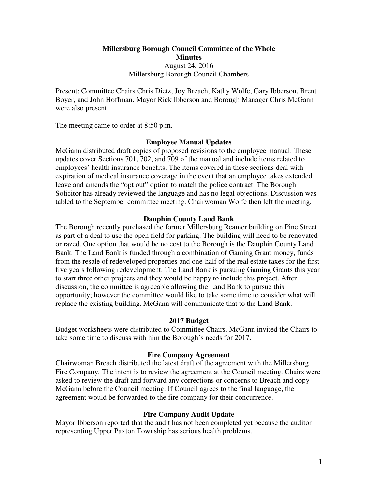**Millersburg Borough Council Committee of the Whole Minutes**  August 24, 2016 Millersburg Borough Council Chambers

Present: Committee Chairs Chris Dietz, Joy Breach, Kathy Wolfe, Gary Ibberson, Brent Boyer, and John Hoffman. Mayor Rick Ibberson and Borough Manager Chris McGann were also present.

The meeting came to order at 8:50 p.m.

### **Employee Manual Updates**

McGann distributed draft copies of proposed revisions to the employee manual. These updates cover Sections 701, 702, and 709 of the manual and include items related to employees' health insurance benefits. The items covered in these sections deal with expiration of medical insurance coverage in the event that an employee takes extended leave and amends the "opt out" option to match the police contract. The Borough Solicitor has already reviewed the language and has no legal objections. Discussion was tabled to the September committee meeting. Chairwoman Wolfe then left the meeting.

### **Dauphin County Land Bank**

The Borough recently purchased the former Millersburg Reamer building on Pine Street as part of a deal to use the open field for parking. The building will need to be renovated or razed. One option that would be no cost to the Borough is the Dauphin County Land Bank. The Land Bank is funded through a combination of Gaming Grant money, funds from the resale of redeveloped properties and one-half of the real estate taxes for the first five years following redevelopment. The Land Bank is pursuing Gaming Grants this year to start three other projects and they would be happy to include this project. After discussion, the committee is agreeable allowing the Land Bank to pursue this opportunity; however the committee would like to take some time to consider what will replace the existing building. McGann will communicate that to the Land Bank.

#### **2017 Budget**

Budget worksheets were distributed to Committee Chairs. McGann invited the Chairs to take some time to discuss with him the Borough's needs for 2017.

#### **Fire Company Agreement**

Chairwoman Breach distributed the latest draft of the agreement with the Millersburg Fire Company. The intent is to review the agreement at the Council meeting. Chairs were asked to review the draft and forward any corrections or concerns to Breach and copy McGann before the Council meeting. If Council agrees to the final language, the agreement would be forwarded to the fire company for their concurrence.

### **Fire Company Audit Update**

Mayor Ibberson reported that the audit has not been completed yet because the auditor representing Upper Paxton Township has serious health problems.